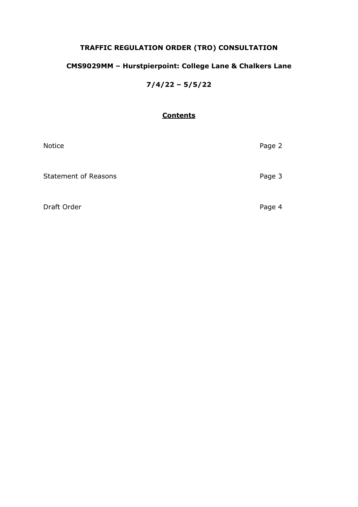# **TRAFFIC REGULATION ORDER (TRO) CONSULTATION**

# **CMS9029MM – Hurstpierpoint: College Lane & Chalkers Lane**

**7/4/22 – 5/5/22**

# **Contents**

| Notice                      | Page 2 |
|-----------------------------|--------|
| <b>Statement of Reasons</b> | Page 3 |
| Draft Order                 | Page 4 |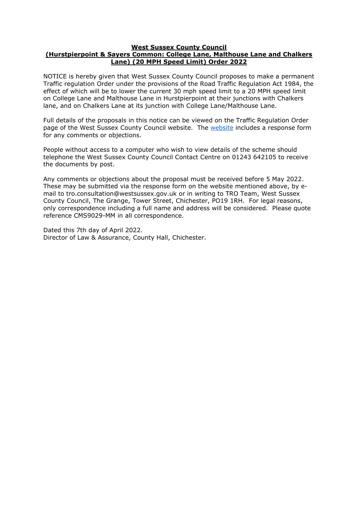#### **West Sussex County Council**

## **(Hurstpierpoint & Sayers Common: College Lane, Malthouse Lane and Chalkers Lane) (20 MPH Speed Limit) Order 2022**

NOTICE is hereby given that West Sussex County Council proposes to make a permanent Traffic regulation Order under the provisions of the Road Traffic Regulation Act 1984, the effect of which will be to lower the current 30 mph speed limit to a 20 MPH speed limit on College Lane and Malthouse Lane in Hurstpierpoint at their junctions with Chalkers lane, and on Chalkers Lane at its junction with College Lane/Malthouse Lane.

Full details of the proposals in this notice can be viewed on the Traffic Regulation Order page of the West Sussex County Council [website](https://www.westsussex.gov.uk/roads-and-travel/traffic-regulation-orders/). The website includes a response form for any comments or objections.

People without access to a computer who wish to view details of the scheme should telephone the West Sussex County Council Contact Centre on 01243 642105 to receive the documents by post.

Any comments or objections about the proposal must be received before 5 May 2022. These may be submitted via the response form on the website mentioned above, by email to tro.consultation@westsussex.gov.uk or in writing to TRO Team, West Sussex County Council, The Grange, Tower Street, Chichester, PO19 1RH. For legal reasons, only correspondence including a full name and address will be considered. Please quote reference CMS9029-MM in all correspondence.

Dated this 7th day of April 2022. Director of Law & Assurance, County Hall, Chichester.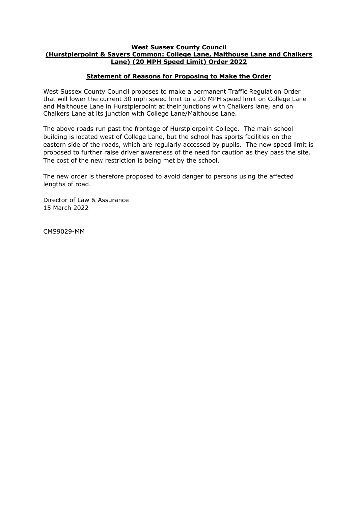## **West Sussex County Council (Hurstpierpoint & Sayers Common: College Lane, Malthouse Lane and Chalkers Lane) (20 MPH Speed Limit) Order 2022**

# **Statement of Reasons for Proposing to Make the Order**

West Sussex County Council proposes to make a permanent Traffic Regulation Order that will lower the current 30 mph speed limit to a 20 MPH speed limit on College Lane and Malthouse Lane in Hurstpierpoint at their junctions with Chalkers lane, and on Chalkers Lane at its junction with College Lane/Malthouse Lane.

The above roads run past the frontage of Hurstpierpoint College. The main school building is located west of College Lane, but the school has sports facilities on the eastern side of the roads, which are regularly accessed by pupils. The new speed limit is proposed to further raise driver awareness of the need for caution as they pass the site. The cost of the new restriction is being met by the school.

The new order is therefore proposed to avoid danger to persons using the affected lengths of road.

Director of Law & Assurance 15 March 2022

CMS9029-MM